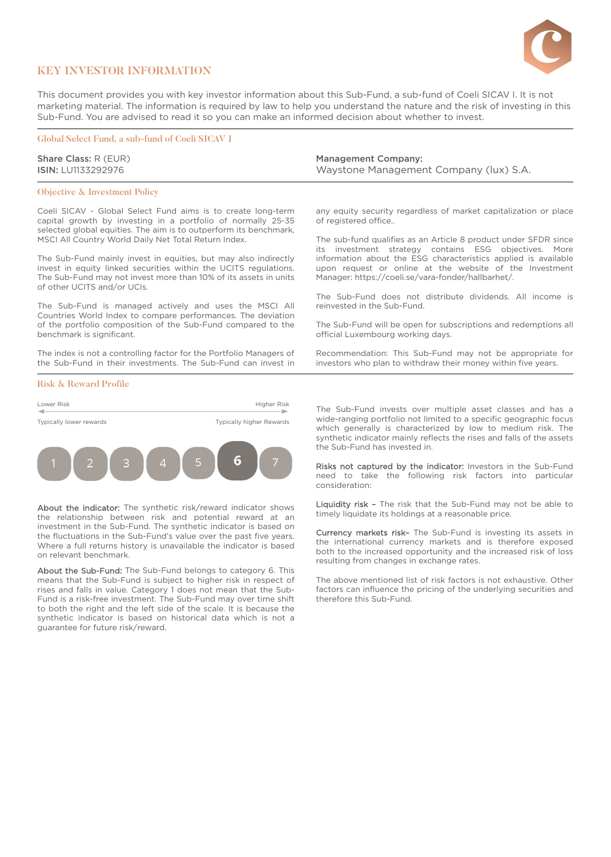

## **KEY INVESTOR INFORMATION**

This document provides you with key investor information about this Sub-Fund, a sub-fund of Coeli SICAV I. It is not marketing material. The information is required by law to help you understand the nature and the risk of investing in this Sub-Fund. You are advised to read it so you can make an informed decision about whether to invest.

## **Global Select Fund, a sub-fund of Coeli SICAV I**

Share Class: R (EUR) ISIN: LU1133292976

### **Objective & Investment Policy**

Coeli SICAV - Global Select Fund aims is to create long-term capital growth by investing in a portfolio of normally 25-35 selected global equities. The aim is to outperform its benchmark, MSCI All Country World Daily Net Total Return Index.

The Sub-Fund mainly invest in equities, but may also indirectly invest in equity linked securities within the UCITS regulations. The Sub-Fund may not invest more than 10% of its assets in units of other UCITS and/or UCIs.

The Sub-Fund is managed actively and uses the MSCI All Countries World Index to compare performances. The deviation of the portfolio composition of the Sub-Fund compared to the benchmark is significant.

The index is not a controlling factor for the Portfolio Managers of the Sub-Fund in their investments. The Sub-Fund can invest in

### **Risk & Reward Profile**



About the indicator: The synthetic risk/reward indicator shows the relationship between risk and potential reward at an investment in the Sub-Fund. The synthetic indicator is based on the fluctuations in the Sub-Fund's value over the past five years. Where a full returns history is unavailable the indicator is based on relevant benchmark.

About the Sub-Fund: The Sub-Fund belongs to category 6. This means that the Sub-Fund is subject to higher risk in respect of rises and falls in value. Category 1 does not mean that the Sub-Fund is a risk-free investment. The Sub-Fund may over time shift to both the right and the left side of the scale. It is because the synthetic indicator is based on historical data which is not a guarantee for future risk/reward.

Management Company: Waystone Management Company (lux) S.A.

any equity security regardless of market capitalization or place of registered office..

The sub-fund qualifies as an Article 8 product under SFDR since its investment strategy contains ESG objectives. More information about the ESG characteristics applied is available upon request or online at the website of the Investment Manager: https://coeli.se/vara-fonder/hallbarhet/.

The Sub-Fund does not distribute dividends. All income is reinvested in the Sub-Fund.

The Sub-Fund will be open for subscriptions and redemptions all official Luxembourg working days.

Recommendation: This Sub-Fund may not be appropriate for investors who plan to withdraw their money within five years.

The Sub-Fund invests over multiple asset classes and has a wide-ranging portfolio not limited to a specific geographic focus which generally is characterized by low to medium risk. The synthetic indicator mainly reflects the rises and falls of the assets the Sub-Fund has invested in.

Risks not captured by the indicator: Investors in the Sub-Fund need to take the following risk factors into particular consideration:

Liquidity risk - The risk that the Sub-Fund may not be able to timely liquidate its holdings at a reasonable price.

Currency markets risk– The Sub-Fund is investing its assets in the international currency markets and is therefore exposed both to the increased opportunity and the increased risk of loss resulting from changes in exchange rates.

The above mentioned list of risk factors is not exhaustive. Other factors can influence the pricing of the underlying securities and therefore this Sub-Fund.